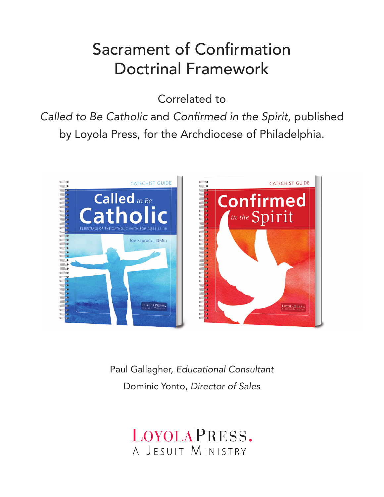### **Sacrament of Confirmation** Doctrinal Framework

Correlated to

*Called to Be Catholic* and *Confi rmed in the Spirit*, published by Loyola Press, for the Archdiocese of Philadelphia.



Paul Gallagher, *Educational Consultant*  Dominic Yonto, *Director of Sales*

> LOYOLA PRESS. A JESUIT MINISTRY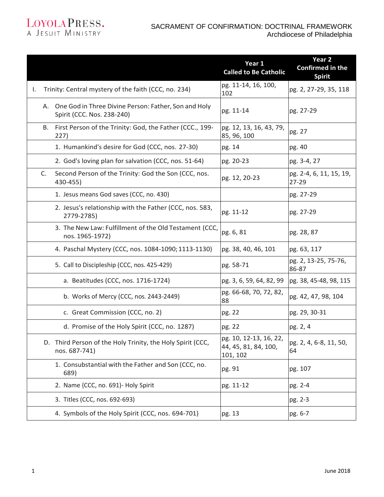## LOYOLAPRESS.

### SACRAMENT OF CONFIRMATION: DOCTRINAL FRAMEWORK Archdiocese of Philadelphia

|    |                                                                                       | Year 1<br><b>Called to Be Catholic</b>                     | Year 2<br><b>Confirmed in the</b><br><b>Spirit</b> |  |
|----|---------------------------------------------------------------------------------------|------------------------------------------------------------|----------------------------------------------------|--|
|    | Trinity: Central mystery of the faith (CCC, no. 234)                                  | pg. 11-14, 16, 100,<br>102                                 | pg. 2, 27-29, 35, 118                              |  |
|    | A. One God in Three Divine Person: Father, Son and Holy<br>Spirit (CCC. Nos. 238-240) | pg. 11-14                                                  | pg. 27-29                                          |  |
| В. | First Person of the Trinity: God, the Father (CCC., 199-<br>227)                      | pg. 12, 13, 16, 43, 79,<br>85, 96, 100                     | pg. 27                                             |  |
|    | 1. Humankind's desire for God (CCC, nos. 27-30)                                       | pg. 14                                                     | pg. 40                                             |  |
|    | 2. God's loving plan for salvation (CCC, nos. 51-64)                                  | pg. 20-23                                                  | pg. 3-4, 27                                        |  |
| C. | Second Person of the Trinity: God the Son (CCC, nos.<br>430-455)                      | pg. 12, 20-23                                              | pg. 2-4, 6, 11, 15, 19,<br>27-29                   |  |
|    | 1. Jesus means God saves (CCC, no. 430)                                               |                                                            | pg. 27-29                                          |  |
|    | 2. Jesus's relationship with the Father (CCC, nos. 583,<br>2779-2785)                 | pg. 11-12                                                  | pg. 27-29                                          |  |
|    | 3. The New Law: Fulfillment of the Old Testament (CCC,<br>nos. 1965-1972)             | pg. 6, 81                                                  | pg. 28, 87                                         |  |
|    | 4. Paschal Mystery (CCC, nos. 1084-1090; 1113-1130)                                   | pg. 38, 40, 46, 101                                        | pg. 63, 117                                        |  |
|    | 5. Call to Discipleship (CCC, nos. 425-429)                                           | pg. 58-71                                                  | pg. 2, 13-25, 75-76,<br>86-87                      |  |
|    | a. Beatitudes (CCC, nos. 1716-1724)                                                   | pg. 3, 6, 59, 64, 82, 99                                   | pg. 38, 45-48, 98, 115                             |  |
|    | b. Works of Mercy (CCC, nos. 2443-2449)                                               | pg. 66-68, 70, 72, 82,<br>88                               | pg. 42, 47, 98, 104                                |  |
|    | c. Great Commission (CCC, no. 2)                                                      | pg. 22                                                     | pg. 29, 30-31                                      |  |
|    | d. Promise of the Holy Spirit (CCC, no. 1287)                                         | pg. 22                                                     | pg. 2, 4                                           |  |
|    | D. Third Person of the Holy Trinity, the Holy Spirit (CCC,<br>nos. 687-741)           | pg. 10, 12-13, 16, 22,<br>44, 45, 81, 84, 100,<br>101, 102 | pg. 2, 4, 6-8, 11, 50,<br>64                       |  |
|    | 1. Consubstantial with the Father and Son (CCC, no.<br>689)                           | pg. 91                                                     | pg. 107                                            |  |
|    | 2. Name {CCC, no. 691)- Holy Spirit                                                   | pg. 11-12                                                  | pg. 2-4                                            |  |
|    | 3. Titles (CCC, nos. 692-693)                                                         |                                                            | pg. 2-3                                            |  |
|    | 4. Symbols of the Holy Spirit (CCC, nos. 694-701)                                     | pg. 13                                                     | pg. 6-7                                            |  |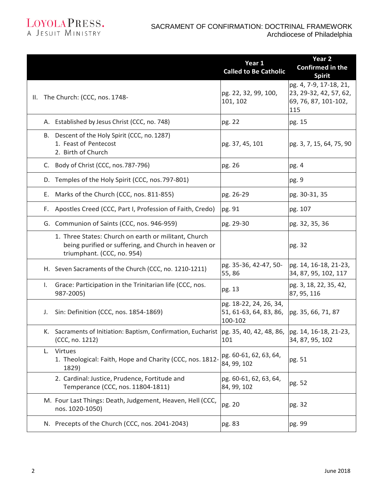## LOYOLAPRESS.

### SACRAMENT OF CONFIRMATION: DOCTRINAL FRAMEWORK Archdiocese of Philadelphia

|    |                                                                                                                                                | Year 1<br><b>Called to Be Catholic</b>                      | Year 2<br><b>Confirmed in the</b><br><b>Spirit</b>                              |  |
|----|------------------------------------------------------------------------------------------------------------------------------------------------|-------------------------------------------------------------|---------------------------------------------------------------------------------|--|
|    | II. The Church: (CCC, nos. 1748-                                                                                                               | pg. 22, 32, 99, 100,<br>101, 102                            | pg. 4, 7-9, 17-18, 21,<br>23, 29-32, 42, 57, 62,<br>69, 76, 87, 101-102,<br>115 |  |
|    | A. Established by Jesus Christ (CCC, no. 748)                                                                                                  | pg. 22                                                      | pg. 15                                                                          |  |
|    | B. Descent of the Holy Spirit (CCC, no. 1287)<br>1. Feast of Pentecost<br>2. Birth of Church                                                   | pg. 37, 45, 101                                             | pg. 3, 7, 15, 64, 75, 90                                                        |  |
|    | C. Body of Christ (CCC, nos. 787-796)                                                                                                          | pg. 26                                                      | pg. 4                                                                           |  |
|    | D. Temples of the Holy Spirit (CCC, nos. 797-801)                                                                                              |                                                             | pg. 9                                                                           |  |
| Е. | Marks of the Church (CCC, nos. 811-855)                                                                                                        | pg. 26-29                                                   | pg. 30-31, 35                                                                   |  |
| F. | Apostles Creed (CCC, Part I, Profession of Faith, Credo)                                                                                       | pg. 91                                                      | pg. 107                                                                         |  |
|    | G. Communion of Saints (CCC, nos. 946-959)                                                                                                     | pg. 29-30                                                   | pg. 32, 35, 36                                                                  |  |
|    | 1. Three States: Church on earth or militant, Church<br>being purified or suffering, and Church in heaven or<br>triumphant. (CCC, no. 954)     |                                                             | pg. 32                                                                          |  |
|    | H. Seven Sacraments of the Church (CCC, no. 1210-1211)                                                                                         | pg. 35-36, 42-47, 50-<br>55,86                              | pg. 14, 16-18, 21-23,<br>34, 87, 95, 102, 117                                   |  |
| I. | Grace: Participation in the Trinitarian life (CCC, nos.<br>987-2005)                                                                           | pg. 13                                                      | pg. 3, 18, 22, 35, 42,<br>87, 95, 116                                           |  |
| J. | Sin: Definition (CCC, nos. 1854-1869)                                                                                                          | pg. 18-22, 24, 26, 34,<br>51, 61-63, 64, 83, 86,<br>100-102 | pg. 35, 66, 71, 87                                                              |  |
|    | K. Sacraments of Initiation: Baptism, Confirmation, Eucharist $\vert$ pg. 35, 40, 42, 48, 86, $\vert$ pg. 14, 16-18, 21-23,<br>(CCC, no. 1212) | 101                                                         | 34, 87, 95, 102                                                                 |  |
| L. | Virtues<br>1. Theological: Faith, Hope and Charity (CCC, nos. 1812-<br>1829)                                                                   | pg. 60-61, 62, 63, 64,<br>84, 99, 102                       | pg. 51                                                                          |  |
|    | 2. Cardinal: Justice, Prudence, Fortitude and<br>Temperance (CCC, nos. 11804-1811)                                                             | pg. 60-61, 62, 63, 64,<br>84, 99, 102                       | pg. 52                                                                          |  |
|    | M. Four Last Things: Death, Judgement, Heaven, Hell (CCC,<br>nos. 1020-1050)                                                                   | pg. 20                                                      | pg. 32                                                                          |  |
|    | N. Precepts of the Church (CCC, nos. 2041-2043)                                                                                                | pg. 83                                                      | pg. 99                                                                          |  |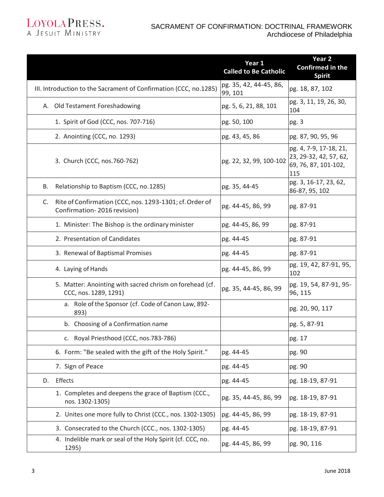# LOYOLAPRESS.

### SACRAMENT OF CONFIRMATION: DOCTRINAL FRAMEWORK Archdiocese of Philadelphia

|                                                                                              | Year 1<br><b>Called to Be Catholic</b> | Year 2<br><b>Confirmed in the</b><br><b>Spirit</b>                              |
|----------------------------------------------------------------------------------------------|----------------------------------------|---------------------------------------------------------------------------------|
| III. Introduction to the Sacrament of Confirmation (CCC, no.1285)                            | pg. 35, 42, 44-45, 86,<br>99, 101      | pg. 18, 87, 102                                                                 |
| Old Testament Foreshadowing<br>А.                                                            | pg. 5, 6, 21, 88, 101                  | pg. 3, 11, 19, 26, 30,<br>104                                                   |
| 1. Spirit of God (CCC, nos. 707-716)                                                         | pg. 50, 100                            | pg. 3                                                                           |
| 2. Anointing (CCC, no. 1293)                                                                 | pg. 43, 45, 86                         | pg. 87, 90, 95, 96                                                              |
| 3. Church (CCC, nos. 760-762)                                                                | pg. 22, 32, 99, 100-102                | pg. 4, 7-9, 17-18, 21,<br>23, 29-32, 42, 57, 62,<br>69, 76, 87, 101-102,<br>115 |
| Relationship to Baptism (CCC, no. 1285)<br>В.                                                | pg. 35, 44-45                          | pg. 3, 16-17, 23, 62,<br>86-87, 95, 102                                         |
| Rite of Confirmation (CCC, nos. 1293-1301; cf. Order of<br>C.<br>Confirmation-2016 revision) | pg. 44-45, 86, 99                      | pg. 87-91                                                                       |
| 1. Minister: The Bishop is the ordinary minister                                             | pg. 44-45, 86, 99                      | pg. 87-91                                                                       |
| 2. Presentation of Candidates                                                                | pg. 44-45                              | pg. 87-91                                                                       |
| 3. Renewal of Baptismal Promises                                                             | pg. 44-45                              | pg. 87-91                                                                       |
| 4. Laying of Hands                                                                           | pg. 44-45, 86, 99                      | pg. 19, 42, 87-91, 95,<br>102                                                   |
| 5. Matter: Anointing with sacred chrism on forehead (cf.<br>CCC, nos. 1289, 1291)            | pg. 35, 44-45, 86, 99                  | pg. 19, 54, 87-91, 95-<br>96, 115                                               |
| a. Role of the Sponsor (cf. Code of Canon Law, 892-<br>893)                                  |                                        | pg. 20, 90, 117                                                                 |
| b. Choosing of a Confirmation name                                                           |                                        | pg. 5, 87-91                                                                    |
| c. Royal Priesthood (CCC, nos.783-786)                                                       |                                        | pg. 17                                                                          |
| 6. Form: "Be sealed with the gift of the Holy Spirit."                                       | pg. 44-45                              | pg. 90                                                                          |
| 7. Sign of Peace                                                                             | pg. 44-45                              | pg. 90                                                                          |
| Effects<br>D.                                                                                | pg. 44-45                              | pg. 18-19, 87-91                                                                |
| 1. Completes and deepens the grace of Baptism (CCC.,<br>nos. 1302-1305)                      | pg. 35, 44-45, 86, 99                  | pg. 18-19, 87-91                                                                |
| 2. Unites one more fully to Christ (CCC., nos. 1302-1305)                                    | pg. 44-45, 86, 99                      | pg. 18-19, 87-91                                                                |
| 3. Consecrated to the Church (CCC., nos. 1302-1305)                                          | pg. 44-45                              | pg. 18-19, 87-91                                                                |
| 4. Indelible mark or seal of the Holy Spirit (cf. CCC, no.<br>1295)                          | pg. 44-45, 86, 99                      | pg. 90, 116                                                                     |